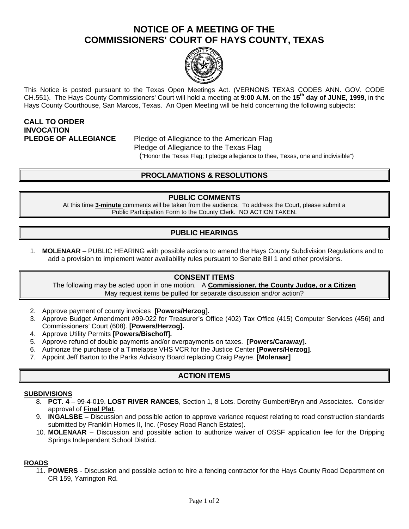## **NOTICE OF A MEETING OF THE COMMISSIONERS' COURT OF HAYS COUNTY, TEXAS**



This Notice is posted pursuant to the Texas Open Meetings Act. (VERNONS TEXAS CODES ANN. GOV. CODE CH.551). The Hays County Commissioners' Court will hold a meeting at **9:00 A.M.** on the **15th day of JUNE, 1999,** in the Hays County Courthouse, San Marcos, Texas. An Open Meeting will be held concerning the following subjects:

# **CALL TO ORDER INVOCATION**

**PLEDGE OF ALLEGIANCE** Pledge of Allegiance to the American Flag Pledge of Allegiance to the Texas Flag ("Honor the Texas Flag; I pledge allegiance to thee, Texas, one and indivisible")

## **PROCLAMATIONS & RESOLUTIONS**

#### **PUBLIC COMMENTS**

At this time **3-minute** comments will be taken from the audience. To address the Court, please submit a Public Participation Form to the County Clerk. NO ACTION TAKEN.

## **PUBLIC HEARINGS**

1. **MOLENAAR** – PUBLIC HEARING with possible actions to amend the Hays County Subdivision Regulations and to add a provision to implement water availability rules pursuant to Senate Bill 1 and other provisions.

#### **CONSENT ITEMS**

The following may be acted upon in one motion. A **Commissioner, the County Judge, or a Citizen** May request items be pulled for separate discussion and/or action?

- 2. Approve payment of county invoices **[Powers/Herzog].**
- 3. Approve Budget Amendment #99-022 for Treasurer's Office (402) Tax Office (415) Computer Services (456) and Commissioners' Court (608). **[Powers/Herzog].**
- 4. Approve Utility Permits **[Powers/Bischoff].**
- 5. Approve refund of double payments and/or overpayments on taxes. **[Powers/Caraway].**
- 6. Authorize the purchase of a Timelapse VHS VCR for the Justice Center **[Powers/Herzog]**.
- 7. Appoint Jeff Barton to the Parks Advisory Board replacing Craig Payne. **[Molenaar]**

## **ACTION ITEMS**

#### **SUBDIVISIONS**

- 8. **PCT. 4** 99-4-019. **LOST RIVER RANCES**, Section 1, 8 Lots. Dorothy Gumbert/Bryn and Associates. Consider approval of **Final Plat**.
- 9. **INGALSBE** Discussion and possible action to approve variance request relating to road construction standards submitted by Franklin Homes II, Inc. (Posey Road Ranch Estates).
- 10. **MOLENAAR** Discussion and possible action to authorize waiver of OSSF application fee for the Dripping Springs Independent School District.

#### **ROADS**

11. **POWERS** - Discussion and possible action to hire a fencing contractor for the Hays County Road Department on CR 159, Yarrington Rd.